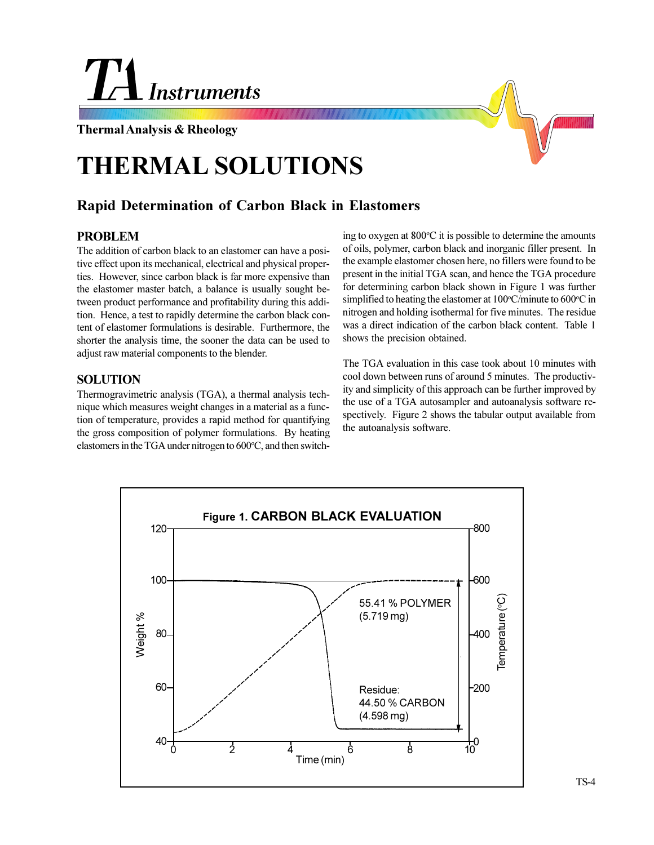

## **Thermal Analysis & Rheology**

# **THERMAL SOLUTIONS**

## **Rapid Determination of Carbon Black in Elastomers**

## **PROBLEM**

The addition of carbon black to an elastomer can have a positive effect upon its mechanical, electrical and physical properties. However, since carbon black is far more expensive than the elastomer master batch, a balance is usually sought between product performance and profitability during this addition. Hence, a test to rapidly determine the carbon black content of elastomer formulations is desirable. Furthermore, the shorter the analysis time, the sooner the data can be used to adjust raw material components to the blender.

#### **SOLUTION**

Thermogravimetric analysis (TGA), a thermal analysis technique which measures weight changes in a material as a function of temperature, provides a rapid method for quantifying the gross composition of polymer formulations. By heating elastomers in the TGA under nitrogen to 600°C, and then switch-

ing to oxygen at 800°C it is possible to determine the amounts of oils, polymer, carbon black and inorganic filler present. In the example elastomer chosen here, no fillers were found to be present in the initial TGA scan, and hence the TGA procedure for determining carbon black shown in Figure 1 was further simplified to heating the elastomer at 100°C/minute to 600°C in nitrogen and holding isothermal for five minutes. The residue was a direct indication of the carbon black content. Table 1 shows the precision obtained.

The TGA evaluation in this case took about 10 minutes with cool down between runs of around 5 minutes. The productivity and simplicity of this approach can be further improved by the use of a TGA autosampler and autoanalysis software respectively. Figure 2 shows the tabular output available from the autoanalysis software.